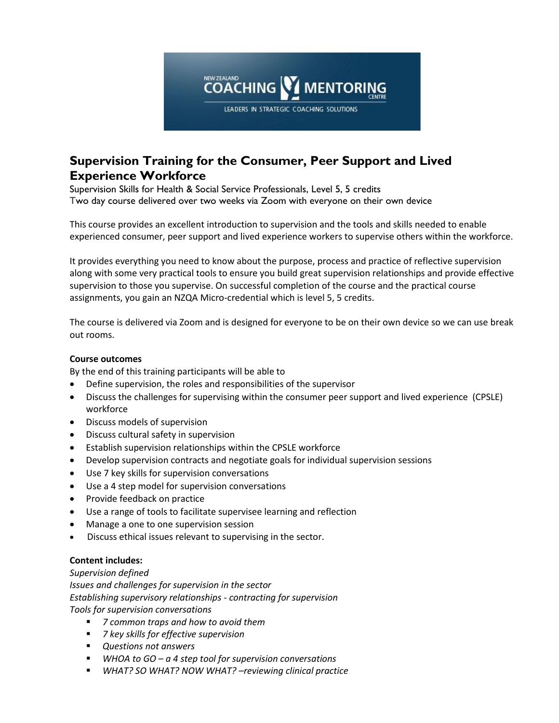

# **Supervision Training for the Consumer, Peer Support and Lived Experience Workforce**

Supervision Skills for Health & Social Service Professionals, Level 5, 5 credits Two day course delivered over two weeks via Zoom with everyone on their own device

This course provides an excellent introduction to supervision and the tools and skills needed to enable experienced consumer, peer support and lived experience workers to supervise others within the workforce.

It provides everything you need to know about the purpose, process and practice of reflective supervision along with some very practical tools to ensure you build great supervision relationships and provide effective supervision to those you supervise. On successful completion of the course and the practical course assignments, you gain an NZQA Micro-credential which is level 5, 5 credits.

The course is delivered via Zoom and is designed for everyone to be on their own device so we can use break out rooms.

### **Course outcomes**

By the end of this training participants will be able to

- Define supervision, the roles and responsibilities of the supervisor
- Discuss the challenges for supervising within the consumer peer support and lived experience (CPSLE) workforce
- Discuss models of supervision
- Discuss cultural safety in supervision
- Establish supervision relationships within the CPSLE workforce
- Develop supervision contracts and negotiate goals for individual supervision sessions
- Use 7 key skills for supervision conversations
- Use a 4 step model for supervision conversations
- Provide feedback on practice
- Use a range of tools to facilitate supervisee learning and reflection
- Manage a one to one supervision session
- Discuss ethical issues relevant to supervising in the sector.

#### **Content includes:**

*Supervision defined Issues and challenges for supervision in the sector*

*Establishing supervisory relationships - contracting for supervision*

*Tools for supervision conversations*

- *7 common traps and how to avoid them*
- *7 key skills for effective supervision*
- *Questions not answers*
- *WHOA to GO – a 4 step tool for supervision conversations*
- *WHAT? SO WHAT? NOW WHAT? –reviewing clinical practice*